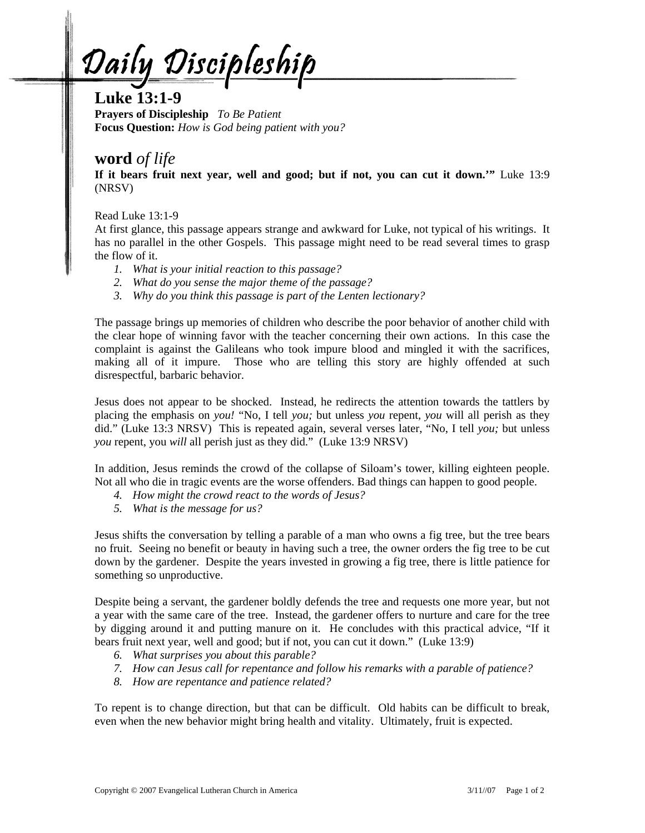Daily Discipleship

## **Luke 13:1-9**

**Prayers of Discipleship** *To Be Patient*  **Focus Question:** *How is God being patient with you?* 

## **word** *of life*

**If it bears fruit next year, well and good; but if not, you can cut it down.'"** Luke 13:9 (NRSV)

Read Luke 13:1-9

At first glance, this passage appears strange and awkward for Luke, not typical of his writings. It has no parallel in the other Gospels. This passage might need to be read several times to grasp the flow of it.

- *1. What is your initial reaction to this passage?*
- *2. What do you sense the major theme of the passage?*
- *3. Why do you think this passage is part of the Lenten lectionary?*

The passage brings up memories of children who describe the poor behavior of another child with the clear hope of winning favor with the teacher concerning their own actions. In this case the complaint is against the Galileans who took impure blood and mingled it with the sacrifices, making all of it impure. Those who are telling this story are highly offended at such disrespectful, barbaric behavior.

Jesus does not appear to be shocked. Instead, he redirects the attention towards the tattlers by placing the emphasis on *you!* "No, I tell *you;* but unless *you* repent, *you* will all perish as they did." (Luke 13:3 NRSV) This is repeated again, several verses later, "No, I tell *you;* but unless *you* repent, you *will* all perish just as they did." (Luke 13:9 NRSV)

In addition, Jesus reminds the crowd of the collapse of Siloam's tower, killing eighteen people. Not all who die in tragic events are the worse offenders. Bad things can happen to good people.

- *4. How might the crowd react to the words of Jesus?*
- *5. What is the message for us?*

Jesus shifts the conversation by telling a parable of a man who owns a fig tree, but the tree bears no fruit. Seeing no benefit or beauty in having such a tree, the owner orders the fig tree to be cut down by the gardener. Despite the years invested in growing a fig tree, there is little patience for something so unproductive.

Despite being a servant, the gardener boldly defends the tree and requests one more year, but not a year with the same care of the tree. Instead, the gardener offers to nurture and care for the tree by digging around it and putting manure on it. He concludes with this practical advice, "If it bears fruit next year, well and good; but if not, you can cut it down." (Luke 13:9)

- *6. What surprises you about this parable?*
- *7. How can Jesus call for repentance and follow his remarks with a parable of patience?*
- *8. How are repentance and patience related?*

To repent is to change direction, but that can be difficult. Old habits can be difficult to break, even when the new behavior might bring health and vitality. Ultimately, fruit is expected.